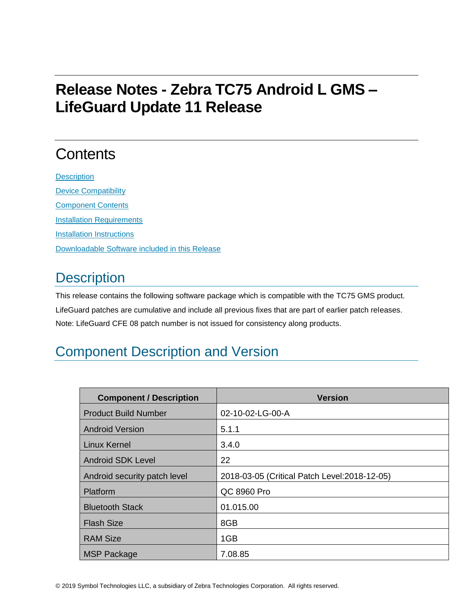# **Release Notes - Zebra TC75 Android L GMS – LifeGuard Update 11 Release**

# **Contents**

**[Description](#page-0-0)** [Device Compatibility](#page-6-0) [Component Contents](#page-6-1) [Installation Requirements](#page-6-2) [Installation Instructions](#page-6-3) [Downloadable Software included in this Release](#page-8-0)

## <span id="page-0-0"></span>**Description**

This release contains the following software package which is compatible with the TC75 GMS product. LifeGuard patches are cumulative and include all previous fixes that are part of earlier patch releases. Note: LifeGuard CFE 08 patch number is not issued for consistency along products.

## Component Description and Version

| <b>Component / Description</b> | <b>Version</b>                                |
|--------------------------------|-----------------------------------------------|
| <b>Product Build Number</b>    | 02-10-02-LG-00-A                              |
| <b>Android Version</b>         | 5.1.1                                         |
| <b>Linux Kernel</b>            | 3.4.0                                         |
| <b>Android SDK Level</b>       | 22                                            |
| Android security patch level   | 2018-03-05 (Critical Patch Level: 2018-12-05) |
| Platform                       | QC 8960 Pro                                   |
| <b>Bluetooth Stack</b>         | 01.015.00                                     |
| <b>Flash Size</b>              | 8GB                                           |
| <b>RAM Size</b>                | 1GB                                           |
| <b>MSP Package</b>             | 7.08.85                                       |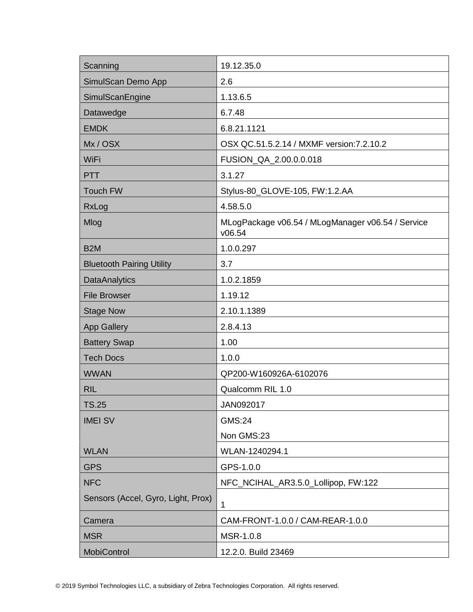| Scanning                           | 19.12.35.0                                                  |
|------------------------------------|-------------------------------------------------------------|
| SimulScan Demo App                 | 2.6                                                         |
| SimulScanEngine                    | 1.13.6.5                                                    |
| Datawedge                          | 6.7.48                                                      |
| <b>EMDK</b>                        | 6.8.21.1121                                                 |
| Mx/OSX                             | OSX QC.51.5.2.14 / MXMF version: 7.2.10.2                   |
| WiFi                               | FUSION_QA_2.00.0.0.018                                      |
| <b>PTT</b>                         | 3.1.27                                                      |
| <b>Touch FW</b>                    | Stylus-80_GLOVE-105, FW:1.2.AA                              |
| RxLog                              | 4.58.5.0                                                    |
| Mlog                               | MLogPackage v06.54 / MLogManager v06.54 / Service<br>v06.54 |
| B <sub>2</sub> M                   | 1.0.0.297                                                   |
| <b>Bluetooth Pairing Utility</b>   | 3.7                                                         |
| <b>DataAnalytics</b>               | 1.0.2.1859                                                  |
| <b>File Browser</b>                | 1.19.12                                                     |
| <b>Stage Now</b>                   | 2.10.1.1389                                                 |
| <b>App Gallery</b>                 | 2.8.4.13                                                    |
| <b>Battery Swap</b>                | 1.00                                                        |
| <b>Tech Docs</b>                   | 1.0.0                                                       |
| <b>WWAN</b>                        | QP200-W160926A-6102076                                      |
| <b>RIL</b>                         | Qualcomm RIL 1.0                                            |
| TS.25                              | JAN092017                                                   |
| <b>IMEI SV</b>                     | <b>GMS:24</b>                                               |
|                                    | Non GMS:23                                                  |
| <b>WLAN</b>                        | WLAN-1240294.1                                              |
| <b>GPS</b>                         | GPS-1.0.0                                                   |
| <b>NFC</b>                         | NFC_NCIHAL_AR3.5.0_Lollipop, FW:122                         |
| Sensors (Accel, Gyro, Light, Prox) | 1                                                           |
| Camera                             | CAM-FRONT-1.0.0 / CAM-REAR-1.0.0                            |
| <b>MSR</b>                         | MSR-1.0.8                                                   |
| <b>MobiControl</b>                 | 12.2.0. Build 23469                                         |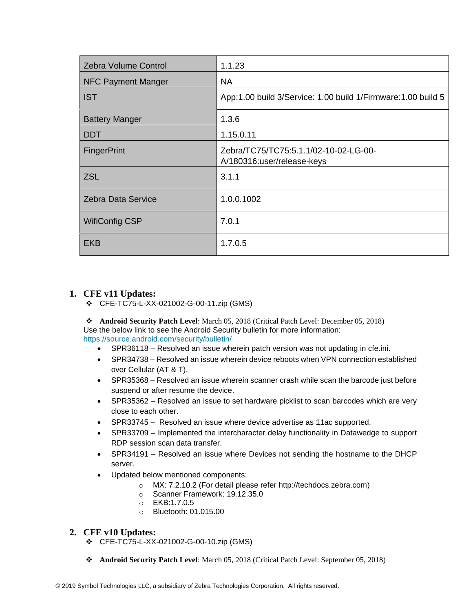| <b>Zebra Volume Control</b> | 1.1.23                                                              |
|-----------------------------|---------------------------------------------------------------------|
| NFC Payment Manger          | <b>NA</b>                                                           |
| <b>IST</b>                  | App:1.00 build 3/Service: 1.00 build 1/Firmware: 1.00 build 5       |
| <b>Battery Manger</b>       | 1.3.6                                                               |
| <b>DDT</b>                  | 1.15.0.11                                                           |
| <b>FingerPrint</b>          | Zebra/TC75/TC75:5.1.1/02-10-02-LG-00-<br>A/180316:user/release-keys |
| <b>ZSL</b>                  | 3.1.1                                                               |
| Zebra Data Service          | 1.0.0.1002                                                          |
| <b>WifiConfig CSP</b>       | 7.0.1                                                               |
| <b>EKB</b>                  | 1.7.0.5                                                             |

## **1. CFE v11 Updates:**

❖ CFE-TC75-L-XX-021002-G-00-11.zip (GMS)

❖ **Android Security Patch Level**: March 05, 2018 (Critical Patch Level: December 05, 2018) Use the below link to see the Android Security bulletin for more information: <https://source.android.com/security/bulletin/>

- SPR36118 Resolved an issue wherein patch version was not updating in cfe.ini.
- SPR34738 Resolved an issue wherein device reboots when VPN connection established over Cellular (AT & T).
- SPR35368 Resolved an issue wherein scanner crash while scan the barcode just before suspend or after resume the device.
- SPR35362 Resolved an issue to set hardware picklist to scan barcodes which are very close to each other.
- SPR33745 Resolved an issue where device advertise as 11ac supported.
- SPR33709 Implemented the intercharacter delay functionality in Datawedge to support RDP session scan data transfer.
- SPR34191 Resolved an issue where Devices not sending the hostname to the DHCP server.
- Updated below mentioned components:
	- o MX: 7.2.10.2 (For detail please refer [http://techdocs.zebra.com\)](http://techdocs.zebra.com/)
	- o Scanner Framework: 19.12.35.0
	- o EKB:1.7.0.5
	- o Bluetooth: 01.015.00

### **2. CFE v10 Updates:**

- ❖ CFE-TC75-L-XX-021002-G-00-10.zip (GMS)
- ❖ **Android Security Patch Level**: March 05, 2018 (Critical Patch Level: September 05, 2018)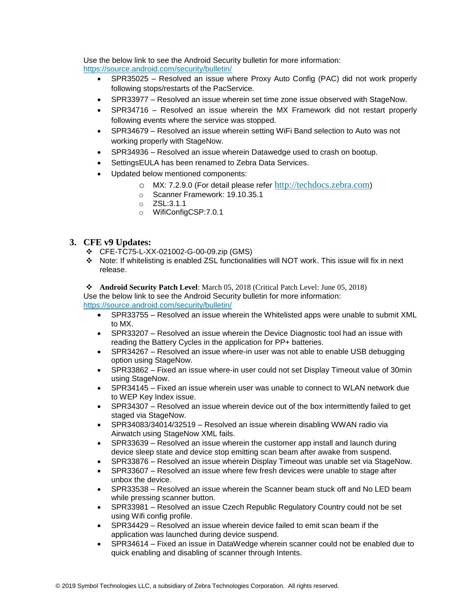Use the below link to see the Android Security bulletin for more information: <https://source.android.com/security/bulletin/>

- SPR35025 Resolved an issue where Proxy Auto Config (PAC) did not work properly following stops/restarts of the PacService.
- SPR33977 Resolved an issue wherein set time zone issue observed with StageNow.
- SPR34716 Resolved an issue wherein the MX Framework did not restart properly following events where the service was stopped.
- SPR34679 Resolved an issue wherein setting WiFi Band selection to Auto was not working properly with StageNow.
- SPR34936 Resolved an issue wherein Datawedge used to crash on bootup.
- SettingsEULA has been renamed to Zebra Data Services.
- Updated below mentioned components:
	- o MX: 7.2.9.0 (For detail please refer [http://techdocs.zebra.com](http://techdocs.zebra.com/))
	- o Scanner Framework: 19.10.35.1
	- o ZSL:3.1.1
	- o WifiConfigCSP:7.0.1

### **3. CFE v9 Updates:**

- ❖ CFE-TC75-L-XX-021002-G-00-09.zip (GMS)
- ❖ Note: If whitelisting is enabled ZSL functionalities will NOT work. This issue will fix in next release.

❖ **Android Security Patch Level**: March 05, 2018 (Critical Patch Level: June 05, 2018) Use the below link to see the Android Security bulletin for more information:

<https://source.android.com/security/bulletin/>

- SPR33755 Resolved an issue wherein the Whitelisted apps were unable to submit XML to MX.
- SPR33207 Resolved an issue wherein the Device Diagnostic tool had an issue with reading the Battery Cycles in the application for PP+ batteries.
- SPR34267 Resolved an issue where-in user was not able to enable USB debugging option using StageNow.
- SPR33862 Fixed an issue where-in user could not set Display Timeout value of 30min using StageNow.
- SPR34145 Fixed an issue wherein user was unable to connect to WLAN network due to WEP Key Index issue.
- SPR34307 Resolved an issue wherein device out of the box intermittently failed to get staged via StageNow.
- SPR34083/34014/32519 Resolved an issue wherein disabling WWAN radio via Airwatch using StageNow XML fails.
- SPR33639 Resolved an issue wherein the customer app install and launch during device sleep state and device stop emitting scan beam after awake from suspend.
- SPR33876 Resolved an issue wherein Display Timeout was unable set via StageNow.
- SPR33607 Resolved an issue where few fresh devices were unable to stage after unbox the device.
- SPR33538 Resolved an issue wherein the Scanner beam stuck off and No LED beam while pressing scanner button.
- SPR33981 Resolved an issue Czech Republic Regulatory Country could not be set using Wifi config profile.
- SPR34429 Resolved an issue wherein device failed to emit scan beam if the application was launched during device suspend.
- SPR34614 Fixed an issue in DataWedge wherein scanner could not be enabled due to quick enabling and disabling of scanner through Intents.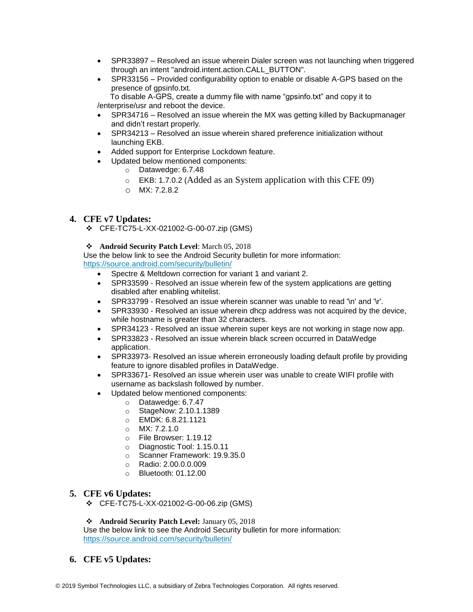- SPR33897 Resolved an issue wherein Dialer screen was not launching when triggered through an intent "android.intent.action.CALL\_BUTTON".
- SPR33156 Provided configurability option to enable or disable A-GPS based on the presence of gpsinfo.txt.

 To disable A-GPS, create a dummy file with name "gpsinfo.txt" and copy it to /enterprise/usr and reboot the device.

- SPR34716 Resolved an issue wherein the MX was getting killed by Backupmanager and didn't restart properly.
- SPR34213 Resolved an issue wherein shared preference initialization without launching EKB.
- Added support for Enterprise Lockdown feature.
- Updated below mentioned components:
	- o Datawedge: 6.7.48
	- o EKB: 1.7.0.2 (Added as an System application with this CFE 09)
	- o MX: 7.2.8.2

#### **4. CFE v7 Updates:**

❖ CFE-TC75-L-XX-021002-G-00-07.zip (GMS)

#### ❖ **Android Security Patch Level**: March 05, 2018

Use the below link to see the Android Security bulletin for more information: <https://source.android.com/security/bulletin/>

- Spectre & Meltdown correction for variant 1 and variant 2.
- SPR33599 Resolved an issue wherein few of the system applications are getting disabled after enabling whitelist.
- SPR33799 Resolved an issue wherein scanner was unable to read '\n' and '\r'.
- SPR33930 Resolved an issue wherein dhcp address was not acquired by the device, while hostname is greater than 32 characters.
- SPR34123 Resolved an issue wherein super keys are not working in stage now app.
- SPR33823 Resolved an issue wherein black screen occurred in DataWedge application.
- SPR33973- Resolved an issue wherein erroneously loading default profile by providing feature to ignore disabled profiles in DataWedge.
- SPR33671- Resolved an issue wherein user was unable to create WIFI profile with username as backslash followed by number.
- Updated below mentioned components:
	- o Datawedge: 6.7.47
	- o StageNow: 2.10.1.1389
	- o EMDK: 6.8.21.1121
	- $O$  MX: 7.2.1.0
	- o File Browser: 1.19.12
	- o Diagnostic Tool: 1.15.0.11
	- o Scanner Framework: 19.9.35.0
	- o Radio: 2.00.0.0.009
	- o Bluetooth: 01.12.00

#### **5. CFE v6 Updates:**

❖ CFE-TC75-L-XX-021002-G-00-06.zip (GMS)

❖ **Android Security Patch Level:** January 05, 2018

Use the below link to see the Android Security bulletin for more information: <https://source.android.com/security/bulletin/>

### **6. CFE v5 Updates:**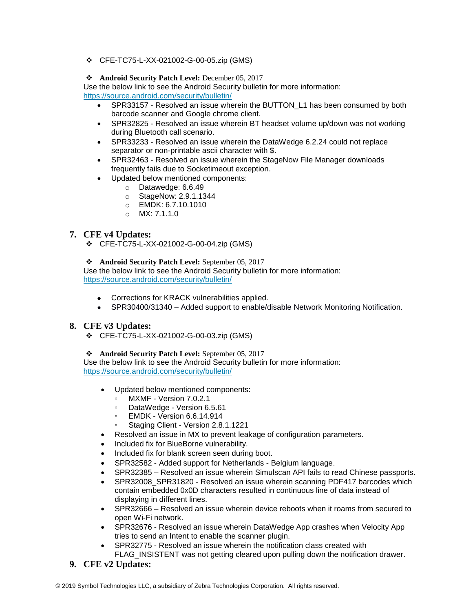❖ CFE-TC75-L-XX-021002-G-00-05.zip (GMS)

#### ❖ **Android Security Patch Level:** December 05, 2017

Use the below link to see the Android Security bulletin for more information: <https://source.android.com/security/bulletin/>

- SPR33157 Resolved an issue wherein the BUTTON\_L1 has been consumed by both barcode scanner and Google chrome client.
- SPR32825 Resolved an issue wherein BT headset volume up/down was not working during Bluetooth call scenario.
- SPR33233 Resolved an issue wherein the DataWedge 6.2.24 could not replace separator or non-printable ascii character with \$.
- SPR32463 Resolved an issue wherein the StageNow File Manager downloads frequently fails due to Socketimeout exception.
- Updated below mentioned components:
	- o Datawedge: 6.6.49
		- o StageNow: 2.9.1.1344
		- o EMDK: 6.7.10.1010
		- o MX: 7.1.1.0

### **7. CFE v4 Updates:**

❖ CFE-TC75-L-XX-021002-G-00-04.zip (GMS)

❖ **Android Security Patch Level:** September 05, 2017

Use the below link to see the Android Security bulletin for more information: <https://source.android.com/security/bulletin/>

- Corrections for KRACK vulnerabilities applied.
- SPR30400/31340 Added support to enable/disable Network Monitoring Notification.

### **8. CFE v3 Updates:**

❖ CFE-TC75-L-XX-021002-G-00-03.zip (GMS)

#### ❖ **Android Security Patch Level:** September 05, 2017

Use the below link to see the Android Security bulletin for more information: <https://source.android.com/security/bulletin/>

- Updated below mentioned components:
	- MXMF Version 7.0.2.1
	- DataWedge Version 6.5.61
	- EMDK Version 6.6.14.914
	- Staging Client Version 2.8.1.1221
- Resolved an issue in MX to prevent leakage of configuration parameters.
- Included fix for BlueBorne vulnerability.
- Included fix for blank screen seen during boot.
- SPR32582 Added support for Netherlands Belgium language.
- SPR32385 Resolved an issue wherein Simulscan API fails to read Chinese passports.
- SPR32008\_SPR31820 Resolved an issue wherein scanning PDF417 barcodes which contain embedded 0x0D characters resulted in continuous line of data instead of displaying in different lines.
- SPR32666 Resolved an issue wherein device reboots when it roams from secured to open Wi-Fi network.
- SPR32676 Resolved an issue wherein DataWedge App crashes when Velocity App tries to send an Intent to enable the scanner plugin.
- SPR32775 Resolved an issue wherein the notification class created with FLAG INSISTENT was not getting cleared upon pulling down the notification drawer.
- **9. CFE v2 Updates:**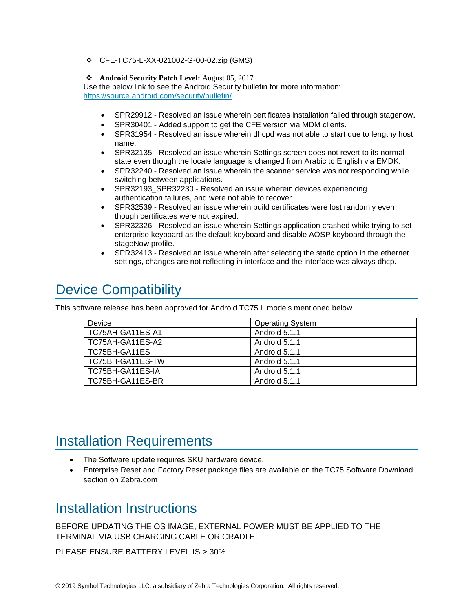❖ CFE-TC75-L-XX-021002-G-00-02.zip (GMS)

#### ❖ **Android Security Patch Level:** August 05, 2017

Use the below link to see the Android Security bulletin for more information: <https://source.android.com/security/bulletin/>

- SPR29912 Resolved an issue wherein certificates installation failed through stagenow.
- SPR30401 Added support to get the CFE version via MDM clients.
- SPR31954 Resolved an issue wherein dhcpd was not able to start due to lengthy host name.
- SPR32135 Resolved an issue wherein Settings screen does not revert to its normal state even though the locale language is changed from Arabic to English via EMDK.
- SPR32240 Resolved an issue wherein the scanner service was not responding while switching between applications.
- SPR32193\_SPR32230 Resolved an issue wherein devices experiencing authentication failures, and were not able to recover.
- SPR32539 Resolved an issue wherein build certificates were lost randomly even though certificates were not expired.
- SPR32326 Resolved an issue wherein Settings application crashed while trying to set enterprise keyboard as the default keyboard and disable AOSP keyboard through the stageNow profile.
- SPR32413 Resolved an issue wherein after selecting the static option in the ethernet settings, changes are not reflecting in interface and the interface was always dhcp.

## <span id="page-6-0"></span>Device Compatibility

This software release has been approved for Android TC75 L models mentioned below.

| Device           | <b>Operating System</b> |
|------------------|-------------------------|
| TC75AH-GA11ES-A1 | Android 5.1.1           |
| TC75AH-GA11ES-A2 | Android 5.1.1           |
| TC75BH-GA11ES    | Android 5.1.1           |
| TC75BH-GA11ES-TW | Android 5.1.1           |
| TC75BH-GA11ES-IA | Android 5.1.1           |
| TC75BH-GA11ES-BR | Android 5.1.1           |

## <span id="page-6-2"></span><span id="page-6-1"></span>Installation Requirements

- The Software update requires SKU hardware device.
- Enterprise Reset and Factory Reset package files are available on the TC75 Software Download section on Zebra.com

## <span id="page-6-3"></span>Installation Instructions

BEFORE UPDATING THE OS IMAGE, EXTERNAL POWER MUST BE APPLIED TO THE TERMINAL VIA USB CHARGING CABLE OR CRADLE.

PLEASE ENSURE BATTERY LEVEL IS > 30%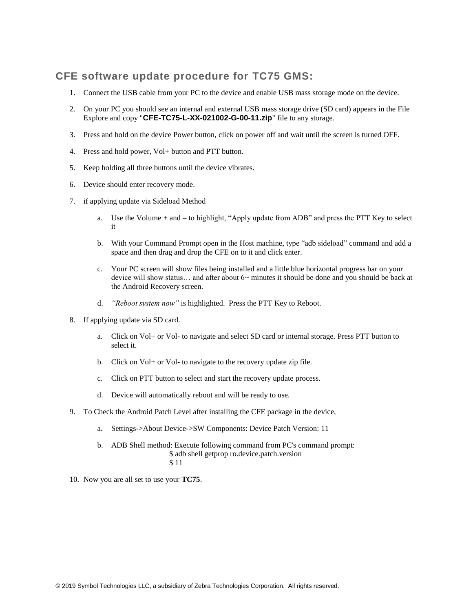## **CFE software update procedure for TC75 GMS:**

- 1. Connect the USB cable from your PC to the device and enable USB mass storage mode on the device.
- 2. On your PC you should see an internal and external USB mass storage drive (SD card) appears in the File Explore and copy "**CFE-TC75-L-XX-021002-G-00-11.zip**" file to any storage.
- 3. Press and hold on the device Power button, click on power off and wait until the screen is turned OFF.
- 4. Press and hold power, Vol+ button and PTT button.
- 5. Keep holding all three buttons until the device vibrates.
- 6. Device should enter recovery mode.
- 7. if applying update via Sideload Method
	- a. Use the Volume + and to highlight, "Apply update from ADB" and press the PTT Key to select it
	- b. With your Command Prompt open in the Host machine, type "adb sideload" command and add a space and then drag and drop the CFE on to it and click enter.
	- c. Your PC screen will show files being installed and a little blue horizontal progress bar on your device will show status... and after about  $6\sim$  minutes it should be done and you should be back at the Android Recovery screen.
	- d. *"Reboot system now"* is highlighted. Press the PTT Key to Reboot.
- 8. If applying update via SD card.
	- a. Click on Vol+ or Vol- to navigate and select SD card or internal storage. Press PTT button to select it.
	- b. Click on Vol+ or Vol- to navigate to the recovery update zip file.
	- c. Click on PTT button to select and start the recovery update process.
	- d. Device will automatically reboot and will be ready to use.
- 9. To Check the Android Patch Level after installing the CFE package in the device,
	- a. Settings->About Device->SW Components: Device Patch Version: 11
	- b. ADB Shell method: Execute following command from PC's command prompt: \$ adb shell getprop ro.device.patch.version \$ 11
- 10. Now you are all set to use your **TC75**.